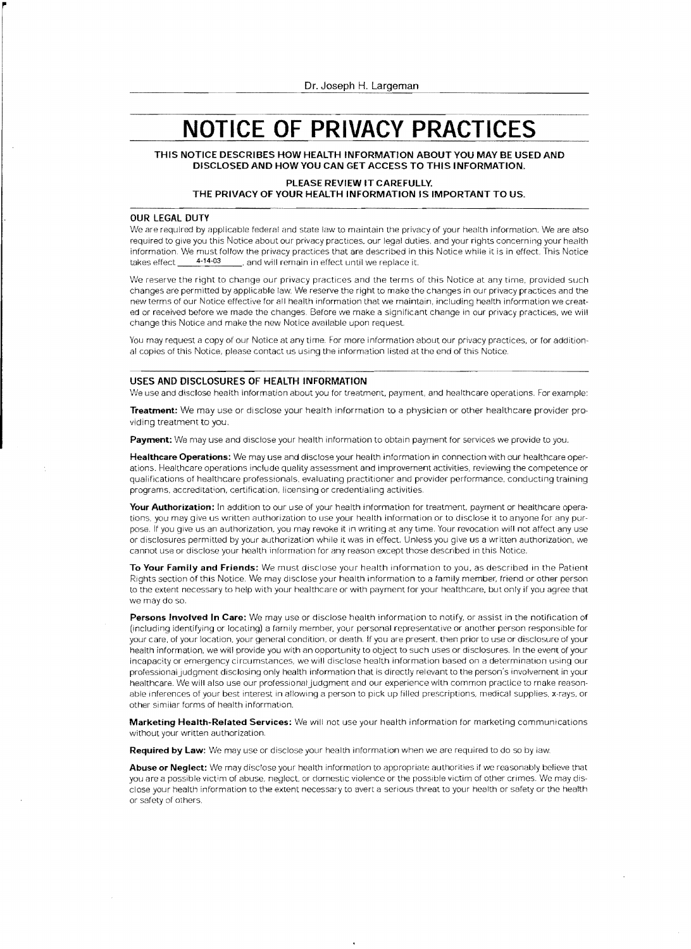# **NOTICE OF PRIVACY PRACTICES**

**THIS NOTICE DESCRIBES HOW HEALTH INFORMATION ABOUT YOU MAY BE USED AND DISCLOSED AND HOW YOU CAN GET ACCESS TO THIS INFORMATION.** 

#### **PLEASE REVIEW IT CAREFULLY. THE PRIVACY OF YOUR HEALTH INFORMATION IS IMPORTANT TO US.**

#### **OUR LEGAL DUTY**

r

We are required by applicable federal and state law to maintain the privacy of your health information. We are also required to give you this Notice about our privacy practices. our legal duties. and your rights concern ing your health information. We must follow the privacy practices that are described in this Notice while it is in effect This Notice \_, and will remain in effect until we replace it.

We reserve the right to change our privacy practices and the terms of this Notice at any time. provided such changes are permitted by applicable law. We reserve the right to make the changes in our privacy practices and the new terms of our Notice effective for all health information that we maintain. including health information we created or received before we made the changes. Before we rnake a significant change in our privacy practices. we will change this Notice and make the new Notice available upon request.

You may request a copy of our Notice at any time. For more information about our privacy practices, or for additional copies of this Notice, please contact us using the information listed at the end of this Notice.

### **USES AND DISCLOSURES OF HEALTH INFORMATION**

We use and disclose health information about you for treatment, payment. and healthcare operations. For example:

**Treatment:** We may use or disclose your health information to a physician or other healthcare provider providing treatment to you.

Payment: We may use and disclose your health information to obtain payment for services we provide to you.

**Healthcare Operations:** We may use and disclose your health information in connection with our healthcare operations. Healthcare operations include quality assessment and improvement activities. reviewing the competence or qualifications of healthcare professionals. evaluating practitioner and provider performance. conducting training programs, accreditation, certification. licensing or credentialing activities.

**Your Authorization:** In addition to our use of your health information for treatment, payment or healthcare operations. you may give us written authorization to use your health information or to disclose it to anyone for any purpose. If you give us an authorization. you may revoke it in writing at any time. Your revocation will not affect any use or disclosures permitted by your authorization while it was in effect. Unless you give us a written authorization. we cannot use or disclose your health information for any reason except those described in this Notice.

**To Your Family and Friends:** We must disclose your health information to you, as described in the Patient Rights section of this Notice. We may disclose your health inFormation to a family member, friend or other person to the extent necessary to help with your healthcare or with payment for your healthcare, but only if you agree that we may do so.

Persons Involved In Care: We may use or disclose health information to notify, or assist in the notification of (including identifying or locating) a family member, your personal representative or another person responsible For your care, of your location. your general condition, or death. If you are present, then prior to use or disclosure of your health information, we will provide you with an opportunity to object to such uses or disclosures. In the event of your incapacity or emergency circumstances, we will disclose health information based on a determination using our professional judgment disclosing only health information that is directly relevant to the person's involvement in your healthcare. We will also use our professional judgment and our experience with common practice to make reasonable Inferences of your best interest in allowing a person to pick up filled prescriptions. medical supplies. x·rays. or other similar forms of health information.

**Marketing Health-Related Services:** We will not use your health information for marketing communications without your written authorization.

**ReqUired by Law:** We may use or disclose your health information when we are required to do so by iaw,

**Abuse or Neglect:** We may disclose your health information to appropriate authorities if we reasonably believe that you are a possible victim of abuse, neglect, or domestic violence or the possible victim of other crimes. We may disclose your health information to the extent necessary to avert a serious threat to your health or safety or the health or safety of others.